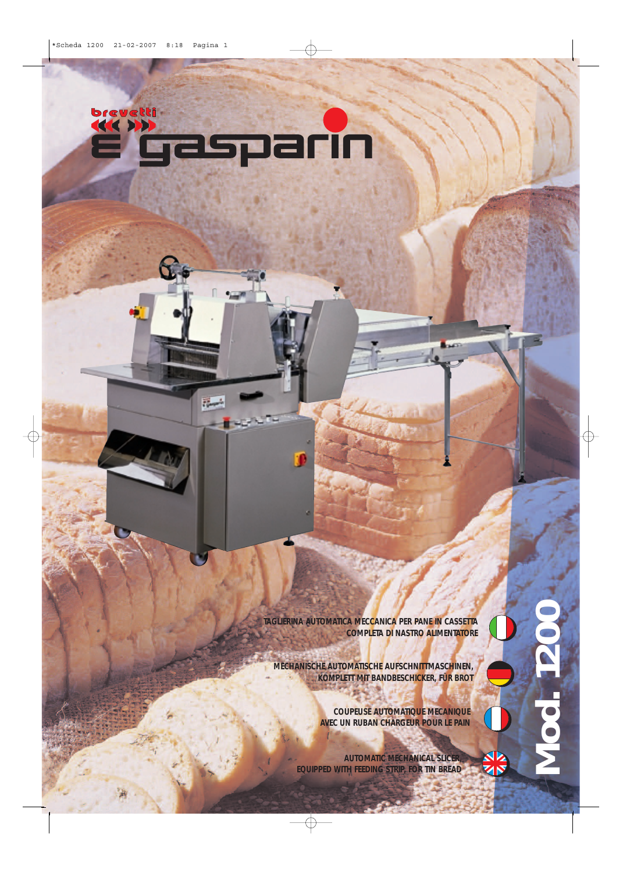

**Read** 

**TAGLIERINA AUTOMATICA MECCANICA PER PANE IN CASSETTA COMPLETA DI NASTRO ALIMENTATORE**

**MECHANISCHE AUTOMATISCHE AUFSCHNITTMASCHINEN, KOMPLETT MIT BANDBESCHICKER, FÜR BROT**

> **COUPEUSE AUTOMATIQUE MECANIQUE AVEC UN RUBAN CHARGEUR POUR LE PAIN**

**Louisia** 

**AUTOMATIC MECHANICAL SLICER, EQUIPPED WITH FEEDING STRIP, FOR TIN BREAD**

ZIN